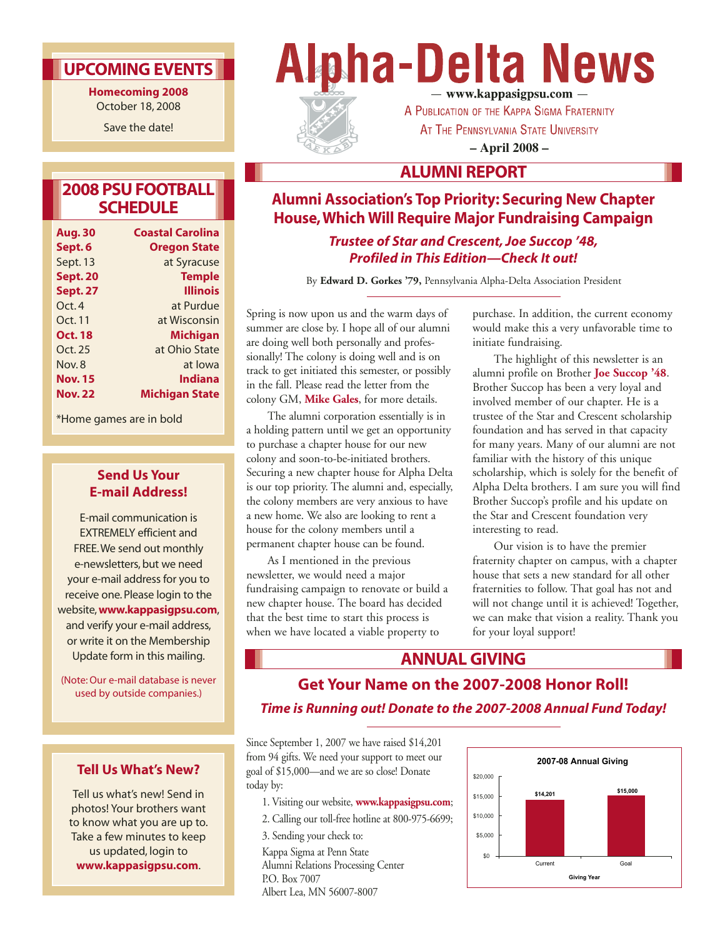### **UPCOMING EVENTS**

**Homecoming 2008** October 18, 2008

Save the date!

### **2008 PSU FOOTBALL SCHEDULE**

| <b>Aug. 30</b>  | <b>Coastal Carolina</b> |
|-----------------|-------------------------|
| Sept. 6         | <b>Oregon State</b>     |
| Sept. 13        | at Syracuse             |
| <b>Sept. 20</b> | <b>Temple</b>           |
| <b>Sept. 27</b> | Illinois                |
| Oct. 4          | at Purdue               |
| Oct. 11         | at Wisconsin            |
| <b>Oct. 18</b>  | <b>Michigan</b>         |
| Oct. 25         | at Ohio State           |
| Nov.8           | at lowa                 |
| <b>Nov. 15</b>  | <b>Indiana</b>          |
| <b>Nov. 22</b>  | <b>Michigan State</b>   |

\*Home games are in bold

### **Send Us Your E-mail Address!**

E-mail communication is EXTREMELY efficient and FREE.We send out monthly e-newsletters, but we need your e-mail address for you to receive one. Please login to the website,**www.kappasigpsu.com**, and verify your e-mail address, or write it on the Membership Update form in this mailing.

(Note: Our e-mail database is never used by outside companies.)

### **Tell Us What's New?**

Tell us what's new! Send in photos! Your brothers want to know what you are up to. Take a few minutes to keep us updated, login to **www.kappasigpsu.com**.

# **Alpha-Delta News** — www.kappasigpsu.com —



A PUBLICATION OF THE KAPPA SIGMA FRATERNITY AT THE PENNSYLVANIA STATE UNIVERSITY **– April 2008 –**

### **ALUMNI REPORT**

### **Alumni Association's Top Priority: Securing New Chapter House, Which Will Require Major Fundraising Campaign**

*Trustee of Star and Crescent, Joe Succop '48, Profiled in This Edition—Check It out!*

By **Edward D. Gorkes '79,** Pennsylvania Alpha-Delta Association President

Spring is now upon us and the warm days of summer are close by. I hope all of our alumni are doing well both personally and professionally! The colony is doing well and is on track to get initiated this semester, or possibly in the fall. Please read the letter from the colony GM, **Mike Gales**, for more details.

The alumni corporation essentially is in a holding pattern until we get an opportunity to purchase a chapter house for our new colony and soon-to-be-initiated brothers. Securing a new chapter house for Alpha Delta is our top priority. The alumni and, especially, the colony members are very anxious to have a new home. We also are looking to rent a house for the colony members until a permanent chapter house can be found.

As I mentioned in the previous newsletter, we would need a major fundraising campaign to renovate or build a new chapter house. The board has decided that the best time to start this process is when we have located a viable property to

purchase. In addition, the current economy would make this a very unfavorable time to initiate fundraising.

The highlight of this newsletter is an alumni profile on Brother **Joe Succop '48**. Brother Succop has been a very loyal and involved member of our chapter. He is a trustee of the Star and Crescent scholarship foundation and has served in that capacity for many years. Many of our alumni are not familiar with the history of this unique scholarship, which is solely for the benefit of Alpha Delta brothers. I am sure you will find Brother Succop's profile and his update on the Star and Crescent foundation very interesting to read.

Our vision is to have the premier fraternity chapter on campus, with a chapter house that sets a new standard for all other fraternities to follow. That goal has not and will not change until it is achieved! Together, we can make that vision a reality. Thank you for your loyal support!

### **ANNUAL GIVING**

### **Get Your Name on the 2007-2008 Honor Roll!** *Time is Running out! Donate to the 2007-2008 Annual Fund Today!*

Since September 1, 2007 we have raised \$14,201 from 94 gifts. We need your support to meet our goal of \$15,000—and we are so close! Donate today by:

- 1. Visiting our website, **www.kappasigpsu.com**;
- 2. Calling our toll-free hotline at 800-975-6699;
- 3. Sending your check to:

Kappa Sigma at Penn State Alumni Relations Processing Center P.O. Box 7007 Albert Lea, MN 56007-8007

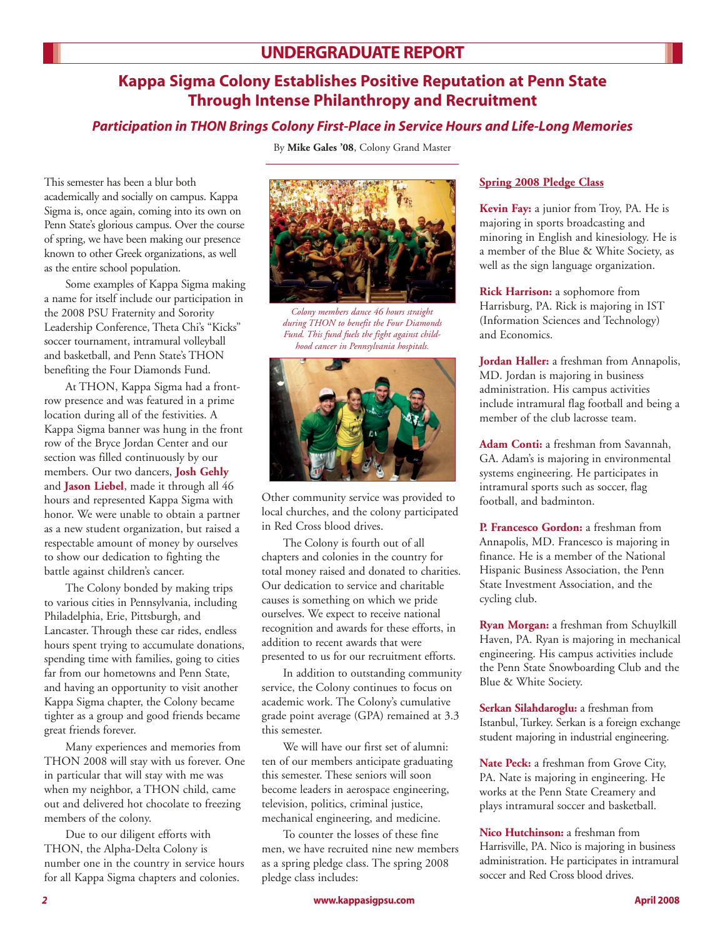### **Kappa Sigma Colony Establishes Positive Reputation at Penn State Through Intense Philanthropy and Recruitment**

### *Participation in THON Brings Colony First-Place in Service Hours and Life-Long Memories*

By **Mike Gales '08**, Colony Grand Master

This semester has been a blur both academically and socially on campus. Kappa Sigma is, once again, coming into its own on Penn State's glorious campus. Over the course of spring, we have been making our presence known to other Greek organizations, as well as the entire school population.

Some examples of Kappa Sigma making a name for itself include our participation in the 2008 PSU Fraternity and Sorority Leadership Conference, Theta Chi's "Kicks" soccer tournament, intramural volleyball and basketball, and Penn State's THON benefiting the Four Diamonds Fund.

At THON, Kappa Sigma had a frontrow presence and was featured in a prime location during all of the festivities. A Kappa Sigma banner was hung in the front row of the Bryce Jordan Center and our section was filled continuously by our members. Our two dancers, **Josh Gehly** and **Jason Liebel**, made it through all 46 hours and represented Kappa Sigma with honor. We were unable to obtain a partner as a new student organization, but raised a respectable amount of money by ourselves to show our dedication to fighting the battle against children's cancer.

The Colony bonded by making trips to various cities in Pennsylvania, including Philadelphia, Erie, Pittsburgh, and Lancaster. Through these car rides, endless hours spent trying to accumulate donations, spending time with families, going to cities far from our hometowns and Penn State, and having an opportunity to visit another Kappa Sigma chapter, the Colony became tighter as a group and good friends became great friends forever.

Many experiences and memories from THON 2008 will stay with us forever. One in particular that will stay with me was when my neighbor, a THON child, came out and delivered hot chocolate to freezing members of the colony.

Due to our diligent efforts with THON, the Alpha-Delta Colony is number one in the country in service hours for all Kappa Sigma chapters and colonies.



*Colony members dance 46 hours straight during THON to benefit the Four Diamonds Fund. This fund fuels the fight against childhood cancer in Pennsylvania hospitals.*



Other community service was provided to local churches, and the colony participated in Red Cross blood drives.

The Colony is fourth out of all chapters and colonies in the country for total money raised and donated to charities. Our dedication to service and charitable causes is something on which we pride ourselves. We expect to receive national recognition and awards for these efforts, in addition to recent awards that were presented to us for our recruitment efforts.

In addition to outstanding community service, the Colony continues to focus on academic work. The Colony's cumulative grade point average (GPA) remained at 3.3 this semester.

We will have our first set of alumni: ten of our members anticipate graduating this semester. These seniors will soon become leaders in aerospace engineering, television, politics, criminal justice, mechanical engineering, and medicine.

To counter the losses of these fine men, we have recruited nine new members as a spring pledge class. The spring 2008 pledge class includes:

#### **Spring 2008 Pledge Class**

**Kevin Fay:** a junior from Troy, PA. He is majoring in sports broadcasting and minoring in English and kinesiology. He is a member of the Blue & White Society, as well as the sign language organization.

**Rick Harrison:** a sophomore from Harrisburg, PA. Rick is majoring in IST (Information Sciences and Technology) and Economics.

**Jordan Haller:** a freshman from Annapolis, MD. Jordan is majoring in business administration. His campus activities include intramural flag football and being a member of the club lacrosse team.

**Adam Conti:** a freshman from Savannah, GA. Adam's is majoring in environmental systems engineering. He participates in intramural sports such as soccer, flag football, and badminton.

**P. Francesco Gordon:** a freshman from Annapolis, MD. Francesco is majoring in finance. He is a member of the National Hispanic Business Association, the Penn State Investment Association, and the cycling club.

**Ryan Morgan:** a freshman from Schuylkill Haven, PA. Ryan is majoring in mechanical engineering. His campus activities include the Penn State Snowboarding Club and the Blue & White Society.

**Serkan Silahdaroglu:** a freshman from Istanbul, Turkey. Serkan is a foreign exchange student majoring in industrial engineering.

**Nate Peck:** a freshman from Grove City, PA. Nate is majoring in engineering. He works at the Penn State Creamery and plays intramural soccer and basketball.

**Nico Hutchinson:** a freshman from Harrisville, PA. Nico is majoring in business administration. He participates in intramural soccer and Red Cross blood drives.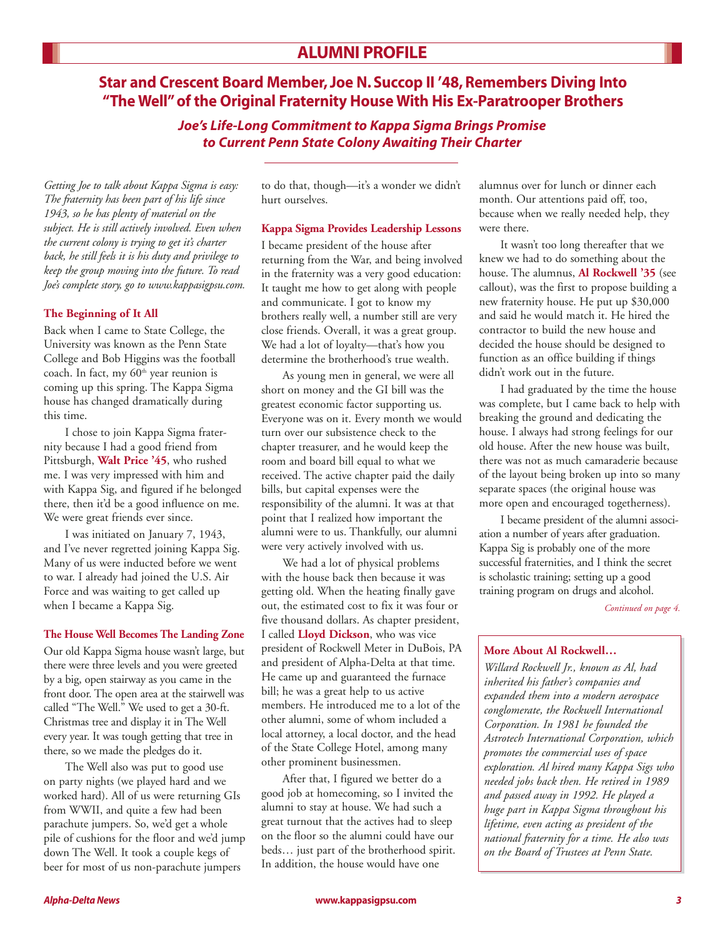### **Star and Crescent Board Member, Joe N. Succop II '48, Remembers Diving Into "The Well" of the Original Fraternity House With His Ex-Paratrooper Brothers**

*Joe's Life-Long Commitment to Kappa Sigma Brings Promise to Current Penn State Colony Awaiting Their Charter*

*Getting Joe to talk about Kappa Sigma is easy: The fraternity has been part of his life since 1943, so he has plenty of material on the subject. He is still actively involved. Even when the current colony is trying to get it's charter back, he still feels it is his duty and privilege to keep the group moving into the future. To read Joe's complete story, go to www.kappasigpsu.com.*

#### **The Beginning of It All**

Back when I came to State College, the University was known as the Penn State College and Bob Higgins was the football coach. In fact, my  $60<sup>th</sup>$  year reunion is coming up this spring. The Kappa Sigma house has changed dramatically during this time.

I chose to join Kappa Sigma fraternity because I had a good friend from Pittsburgh, **Walt Price '45**, who rushed me. I was very impressed with him and with Kappa Sig, and figured if he belonged there, then it'd be a good influence on me. We were great friends ever since.

I was initiated on January 7, 1943, and I've never regretted joining Kappa Sig. Many of us were inducted before we went to war. I already had joined the U.S. Air Force and was waiting to get called up when I became a Kappa Sig.

#### **The House Well Becomes The Landing Zone**

Our old Kappa Sigma house wasn't large, but there were three levels and you were greeted by a big, open stairway as you came in the front door. The open area at the stairwell was called "The Well." We used to get a 30-ft. Christmas tree and display it in The Well every year. It was tough getting that tree in there, so we made the pledges do it.

The Well also was put to good use on party nights (we played hard and we worked hard). All of us were returning GIs from WWII, and quite a few had been parachute jumpers. So, we'd get a whole pile of cushions for the floor and we'd jump down The Well. It took a couple kegs of beer for most of us non-parachute jumpers

to do that, though—it's a wonder we didn't hurt ourselves.

#### **Kappa Sigma Provides Leadership Lessons**

I became president of the house after returning from the War, and being involved in the fraternity was a very good education: It taught me how to get along with people and communicate. I got to know my brothers really well, a number still are very close friends. Overall, it was a great group. We had a lot of loyalty—that's how you determine the brotherhood's true wealth.

As young men in general, we were all short on money and the GI bill was the greatest economic factor supporting us. Everyone was on it. Every month we would turn over our subsistence check to the chapter treasurer, and he would keep the room and board bill equal to what we received. The active chapter paid the daily bills, but capital expenses were the responsibility of the alumni. It was at that point that I realized how important the alumni were to us. Thankfully, our alumni were very actively involved with us.

We had a lot of physical problems with the house back then because it was getting old. When the heating finally gave out, the estimated cost to fix it was four or five thousand dollars. As chapter president, I called **Lloyd Dickson**, who was vice president of Rockwell Meter in DuBois, PA and president of Alpha-Delta at that time. He came up and guaranteed the furnace bill; he was a great help to us active members. He introduced me to a lot of the other alumni, some of whom included a local attorney, a local doctor, and the head of the State College Hotel, among many other prominent businessmen.

After that, I figured we better do a good job at homecoming, so I invited the alumni to stay at house. We had such a great turnout that the actives had to sleep on the floor so the alumni could have our beds… just part of the brotherhood spirit. In addition, the house would have one

alumnus over for lunch or dinner each month. Our attentions paid off, too, because when we really needed help, they were there.

It wasn't too long thereafter that we knew we had to do something about the house. The alumnus, **Al Rockwell '35** (see callout), was the first to propose building a new fraternity house. He put up \$30,000 and said he would match it. He hired the contractor to build the new house and decided the house should be designed to function as an office building if things didn't work out in the future.

I had graduated by the time the house was complete, but I came back to help with breaking the ground and dedicating the house. I always had strong feelings for our old house. After the new house was built, there was not as much camaraderie because of the layout being broken up into so many separate spaces (the original house was more open and encouraged togetherness).

I became president of the alumni association a number of years after graduation. Kappa Sig is probably one of the more successful fraternities, and I think the secret is scholastic training; setting up a good training program on drugs and alcohol.

*Continued on page 4.*

#### **More About Al Rockwell…**

*Willard Rockwell Jr., known as Al, had inherited his father's companies and expanded them into a modern aerospace conglomerate, the Rockwell International Corporation. In 1981 he founded the Astrotech International Corporation, which promotes the commercial uses of space exploration. Al hired many Kappa Sigs who needed jobs back then. He retired in 1989 and passed away in 1992. He played a huge part in Kappa Sigma throughout his lifetime, even acting as president of the national fraternity for a time. He also was on the Board of Trustees at Penn State.*